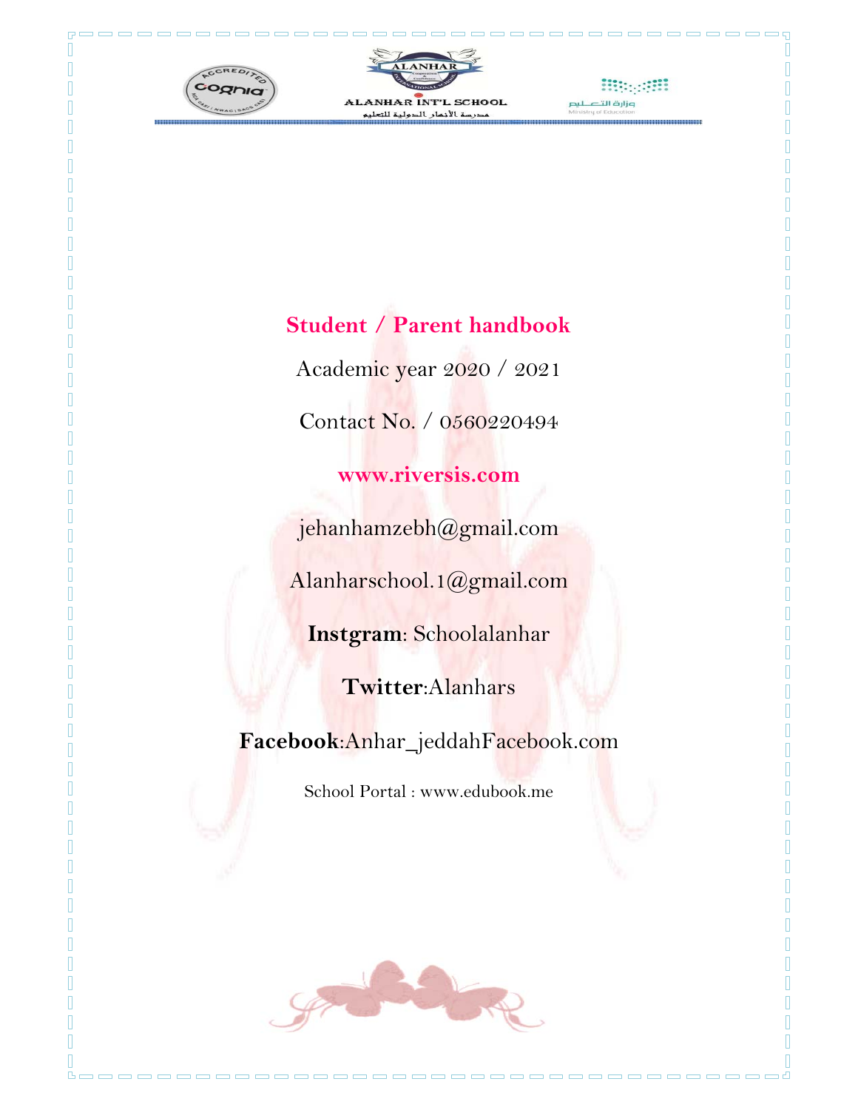

**DE** 

П

--------





ooooooooooooo

# **Student / Parent handbook**

Academic year 2020 / 2021 Contact No. / 0560220494

### **www.riversis.com**

jehanhamzebh@gmail.com

Alanharschool.1@gmail.com

**Instgram**: Schoolalanhar

**Twitter**:Alanhars

**Facebook**:Anhar\_jeddahFacebook.com

School Portal : www.edubook.me



------------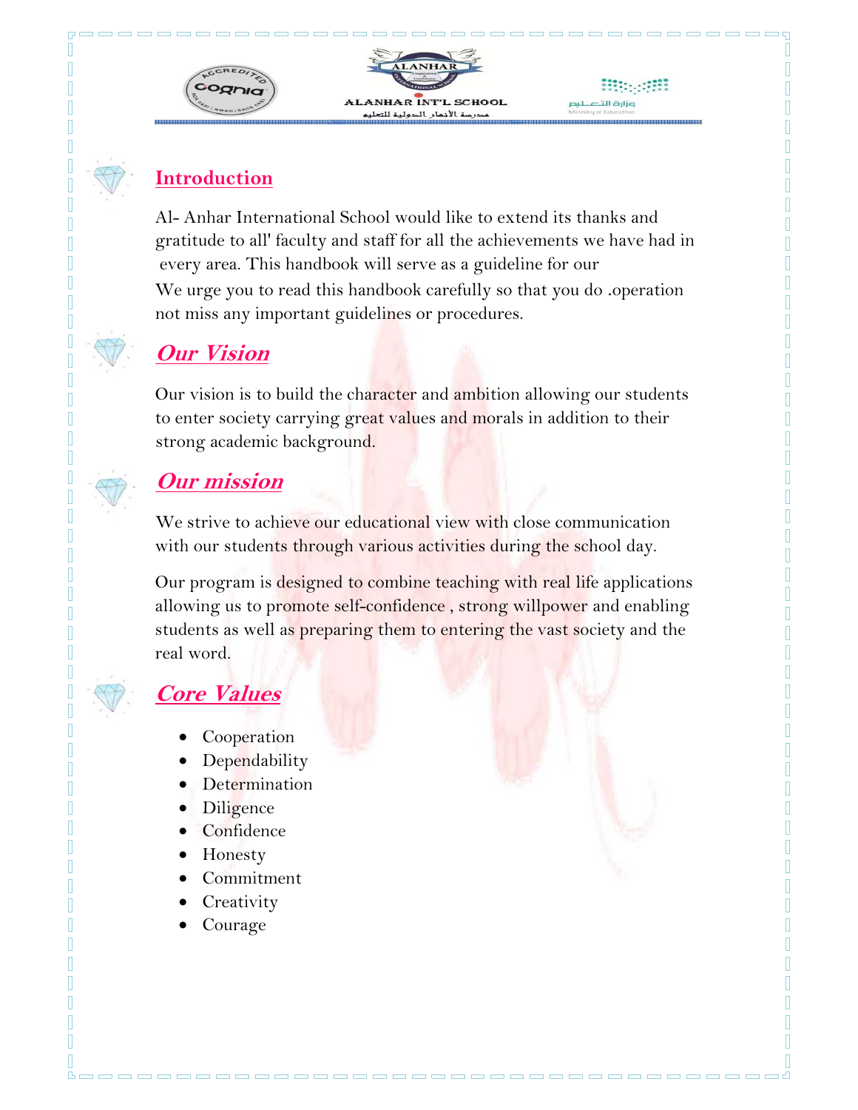

------------

#### **Introduction**

Π 0  $\overline{\mathbb{R}}$ Π Π Π Π Π Π I Π Π Π Π Π I  $\mathbb{I}$ 0 Π  $\mathbb I$ 

П

Π Ī Π Ī П I Π Π Π

Π

Π

Π Π Al- Anhar International School would like to extend its thanks and gratitude to all' faculty and staff for all the achievements we have had in every area. This handbook will serve as a guideline for our We urge you to read this handbook carefully so that you do .operation not miss any important guidelines or procedures.

# **Our Vision**

Our vision is to build the character and ambition allowing our students to enter society carrying great values and morals in addition to their strong academic background.

# **Our mission**

We strive to achieve our educational view with close communication with our students through various activities during the school day.

Our program is designed to combine teaching with real life applications allowing us to promote self-confidence, strong willpower and enabling students as well as preparing them to entering the vast society and the real word.

---------------------------------

# **Core Values**

- Cooperation
- Dependability
- Determination
- Diligence
- Confidence
- Honesty
- Commitment
- **Creativity**
- Courage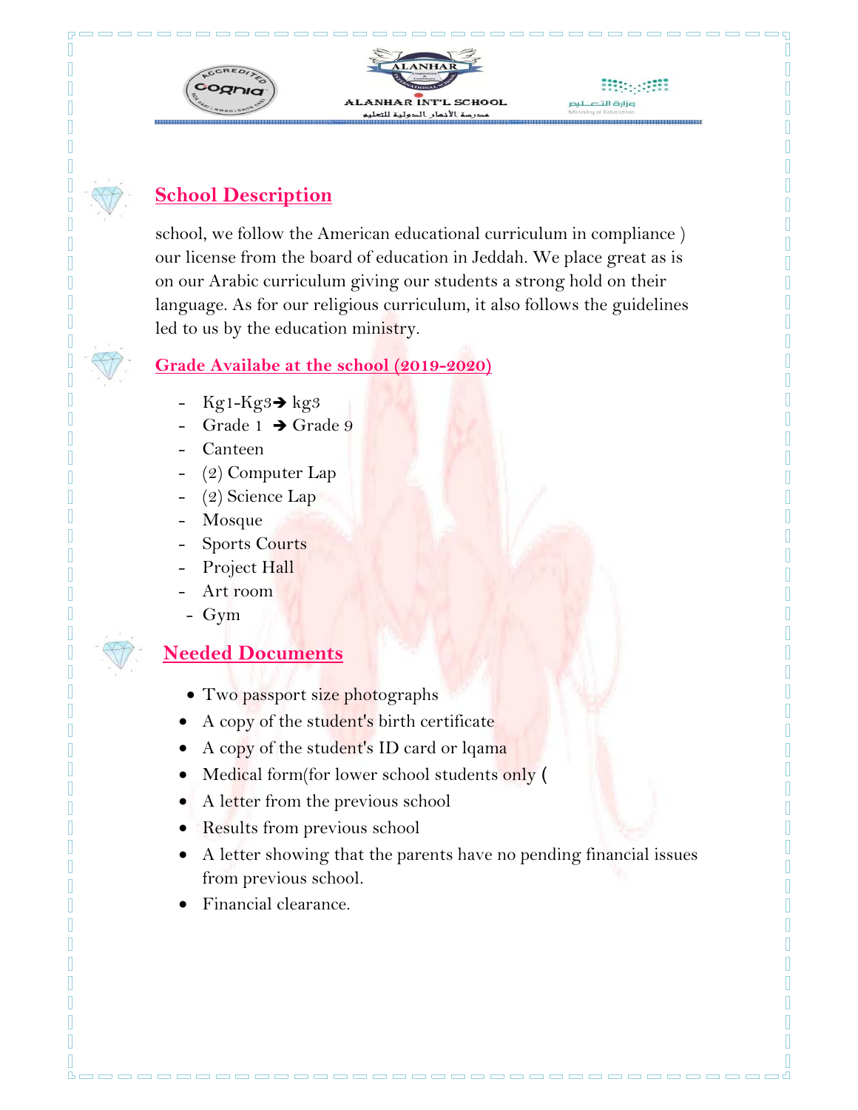

### **School Description**

Π Π  $\overline{\mathbb{I}}$ Π

Π Π

Π Π Π

Π

Π

П Π Π  $\overline{\phantom{a}}$ Π Π П

Π

school, we follow the American educational curriculum in compliance ) our license from the board of education in Jeddah. We place great as is on our Arabic curriculum giving our students a strong hold on their language. As for our religious curriculum, it also follows the guidelines led to us by the education ministry.

#### **Grade Availabe at the school (2019-2020)**

- $Kg1-Kg3 \rightarrow kg3$
- Grade 1  $\rightarrow$  Grade 9
- Canteen
- (2) Computer Lap
- $(2)$  Science Lap
- Mosque
- Sports Courts
- Project Hall
- Art room
- Gym

#### **Needed Documents**

- Two passport size photographs
- A copy of the student's birth certificate
- A copy of the student's ID card or lqama
- Medical form(for lower school students only (
- A letter from the previous school
- Results from previous school
- A letter showing that the parents have no pending financial issues from previous school.
- Financial clearance.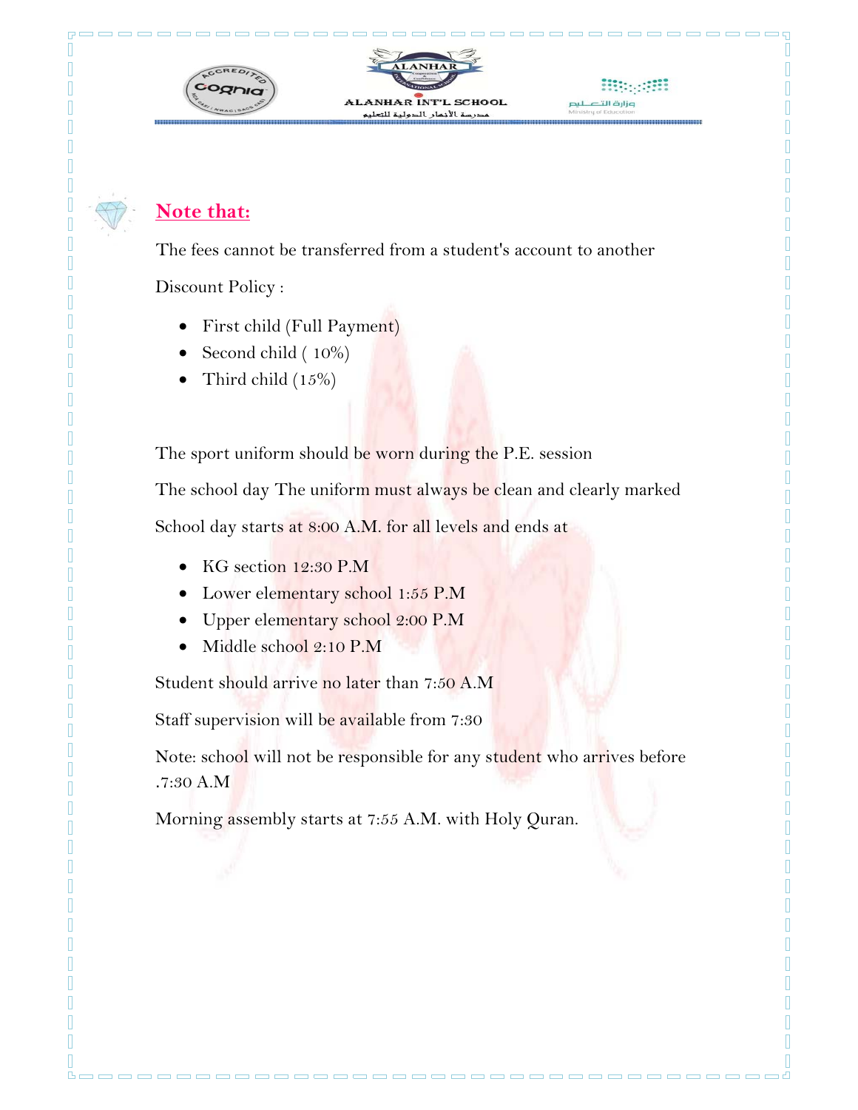

#### **Note that:**

The fees cannot be transferred from a student's account to another

Discount Policy :

- First child (Full Payment)
- Second child ( 10%)
- Third child (15%)

The sport uniform should be worn during the P.E. session

The school day The uniform must always be clean and clearly marked

School day starts at 8:00 A.M. for all levels and ends at

- KG section 12:30 P.M
- Lower elementary school 1:55 P.M
- Upper elementary school 2:00 P.M
- Middle school 2:10 P.M

Student should arrive no later than 7:50 A.M

Staff supervision will be available from 7:30

Note: school will not be responsible for any student who arrives before .7:30 A.M

Morning assembly starts at 7:55 A.M. with Holy Quran.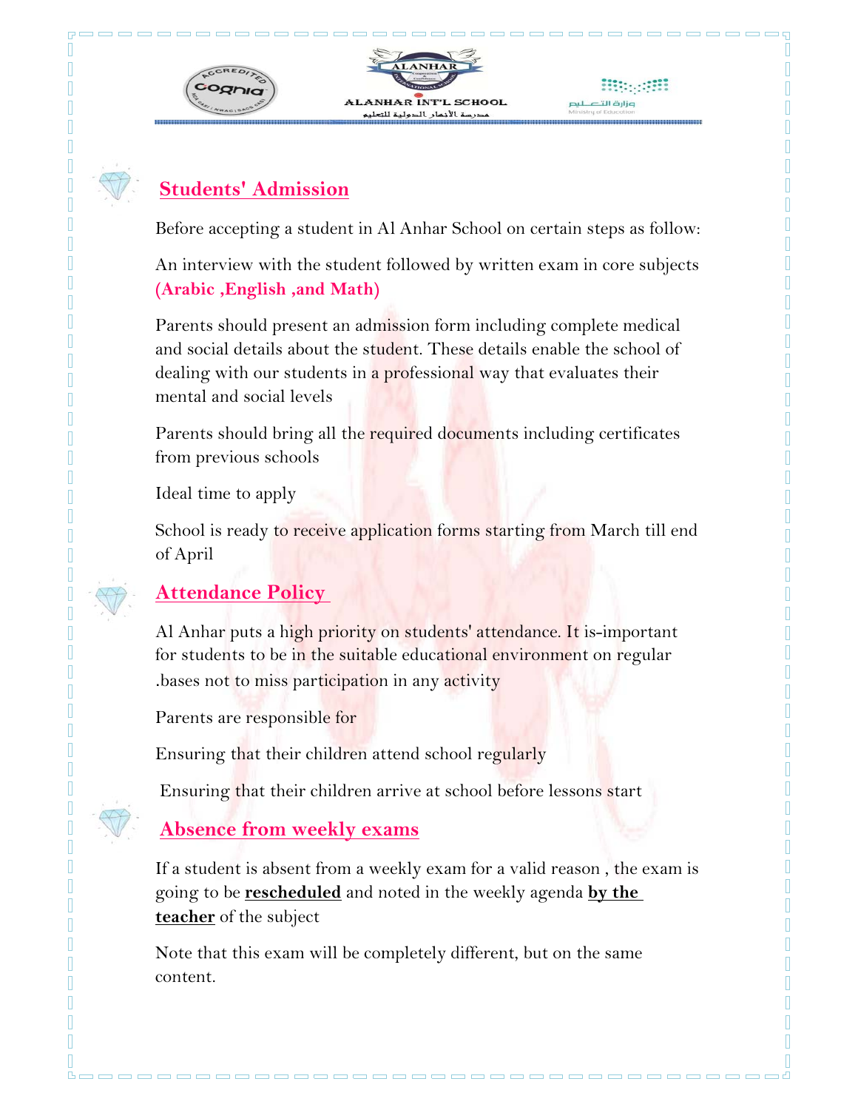

-------------

### **Students' Admission**

 $\mathbb{I}$ I  $\overline{\mathbb{R}}$ Π Π Π Π Π Π Π Π Π Π П П

П Π Π  $\mathbb I$ Π  $\mathbb{R}$ Π

П Π П Π П Π Π Π Π Π Π Π Π Π I Π Π П Π Π

Π Π Before accepting a student in Al Anhar School on certain steps as follow:

An interview with the student followed by written exam in core subjects **(Arabic ,English ,and Math)**

Parents should present an admission form including complete medical and social details about the student. These details enable the school of dealing with our students in a professional way that evaluates their mental and social levels

Parents should bring all the required documents including certificates from previous schools

Ideal time to apply

School is ready to receive application forms starting from March till end of April

#### **Attendance Policy**

Al Anhar puts a high priority on students' attendance. It is-important for students to be in the suitable educational environment on regular .bases not to miss participation in any activity

Parents are responsible for

Ensuring that their children attend school regularly

Ensuring that their children arrive at school before lessons start

#### **Absence from weekly exams**

If a student is absent from a weekly exam for a valid reason , the exam is going to be **rescheduled** and noted in the weekly agenda **by the teacher** of the subject

----------------------------------

Note that this exam will be completely different, but on the same content.